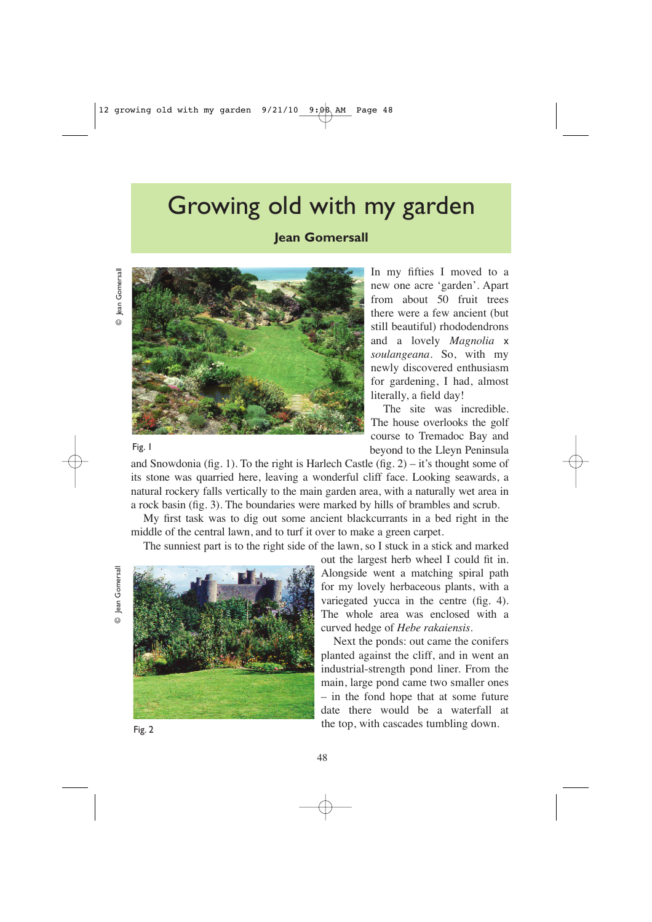## Growing old with my garden

**Jean Gomersall**

Fig. 1



In my fifties I moved to a new one acre 'garden'. Apart from about 50 fruit trees there were a few ancient (but still beautiful) rhododendrons and a lovely *Magnolia* x *soulangeana.* So, with my newly discovered enthusiasm for gardening, I had, almost literally, a field day!

The site was incredible. The house overlooks the golf course to Tremadoc Bay and beyond to the Lleyn Peninsula

and Snowdonia (fig. 1). To the right is Harlech Castle (fig. 2) – it's thought some of its stone was quarried here, leaving a wonderful cliff face. Looking seawards, a natural rockery falls vertically to the main garden area, with a naturally wet area in a rock basin (fig. 3). The boundaries were marked by hills of brambles and scrub.

My first task was to dig out some ancient blackcurrants in a bed right in the middle of the central lawn, and to turf it over to make a green carpet.

The sunniest part is to the right side of the lawn, so I stuck in a stick and marked

ean Gomersall ൳



out the largest herb wheel I could fit in. Alongside went a matching spiral path for my lovely herbaceous plants, with a variegated yucca in the centre (fig. 4). The whole area was enclosed with a curved hedge of *Hebe rakaiensis.*

Next the ponds: out came the conifers planted against the cliff, and in went an industrial-strength pond liner. From the main, large pond came two smaller ones – in the fond hope that at some future date there would be a waterfall at the top, with cascades tumbling down.

Fig. 2

48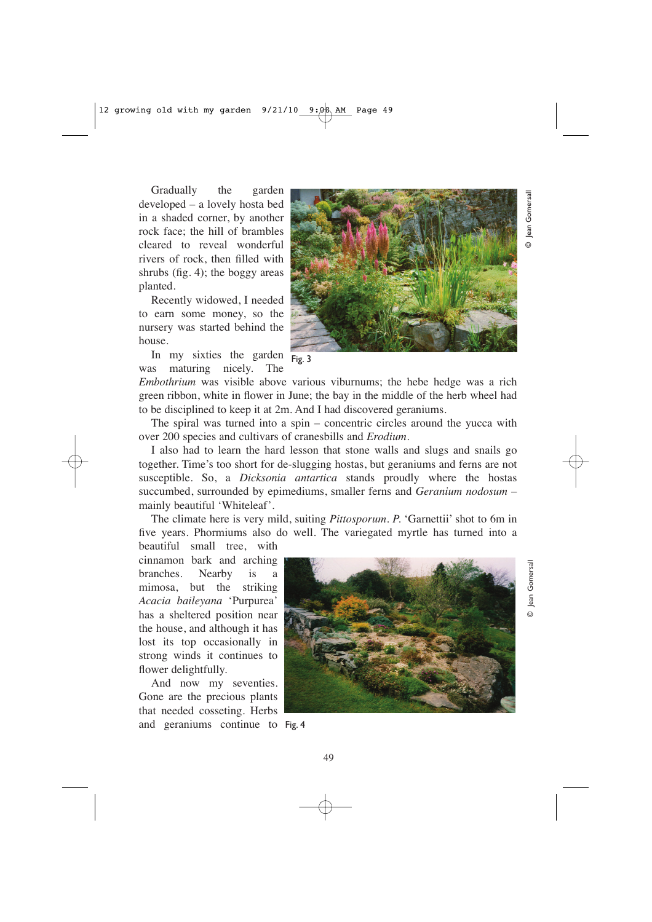Gradually the garden developed – a lovely hosta bed in a shaded corner, by another rock face; the hill of brambles cleared to reveal wonderful rivers of rock, then filled with shrubs (fig. 4); the boggy areas planted.

Recently widowed, I needed to earn some money, so the nursery was started behind the house.

In my sixties the garden was maturing nicely. The

*Embothrium* was visible above various viburnums; the hebe hedge was a rich green ribbon, white in flower in June; the bay in the middle of the herb wheel had to be disciplined to keep it at 2m. And I had discovered geraniums. Fig. 3

The spiral was turned into a spin – concentric circles around the yucca with over 200 species and cultivars of cranesbills and *Erodium*.

I also had to learn the hard lesson that stone walls and slugs and snails go together. Time's too short for de-slugging hostas, but geraniums and ferns are not susceptible. So, a *Dicksonia antartica* stands proudly where the hostas succumbed, surrounded by epimediums, smaller ferns and *Geranium nodosum* – mainly beautiful 'Whiteleaf'.

The climate here is very mild, suiting *Pittosporum*. *P.* 'Garnettii' shot to 6m in five years. Phormiums also do well. The variegated myrtle has turned into a

beautiful small tree, with cinnamon bark and arching branches. Nearby is a mimosa, but the striking *Acacia baileyana* 'Purpurea' has a sheltered position near the house, and although it has lost its top occasionally in strong winds it continues to flower delightfully.

And now my seventies. Gone are the precious plants that needed cosseting. Herbs and geraniums continue to Fig. 4



© Jean Gomersall

Jean  $\odot$ 

Gomersall

© Jean Gomersall

 $\odot$ 

ean Gomersall